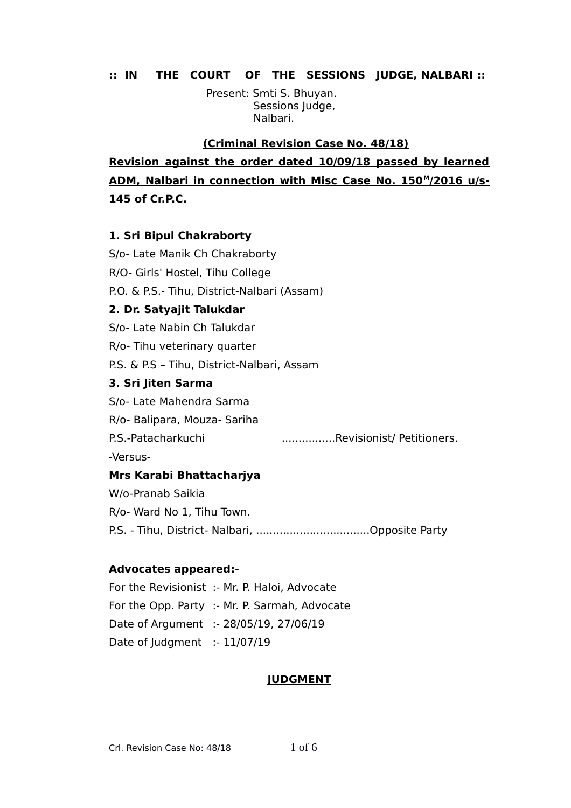### **:: IN THE COURT OF THE SESSIONS JUDGE, NALBARI ::**

 Present: Smti S. Bhuyan. Sessions Judge, Nalbari.

 **(Criminal Revision Case No. 48/18) Revision against the order dated 10/09/18 passed by learned** ADM, Nalbari in connection with Misc Case No. 150<sup>M</sup>/2016 u/s-**145 of Cr.P.C.**

# **1. Sri Bipul Chakraborty**

S/o- Late Manik Ch Chakraborty R/O- Girls' Hostel, Tihu College P.O. & P.S.- Tihu, District-Nalbari (Assam) **2. Dr. Satyajit Talukdar** S/o- Late Nabin Ch Talukdar R/o- Tihu veterinary quarter P.S. & P.S – Tihu, District-Nalbari, Assam **3. Sri Jiten Sarma** S/o- Late Mahendra Sarma R/o- Balipara, Mouza- Sariha P.S.-Patacharkuchi ................Revisionist/ Petitioners. -Versus-**Mrs Karabi Bhattacharjya** W/o-Pranab Saikia R/o- Ward No 1, Tihu Town. P.S. - Tihu, District- Nalbari, ..................................Opposite Party

# **Advocates appeared:-**

For the Revisionist :- Mr. P. Haloi, Advocate For the Opp. Party :- Mr. P. Sarmah, Advocate Date of Argument :- 28/05/19, 27/06/19 Date of Judgment :- 11/07/19

# **JUDGMENT**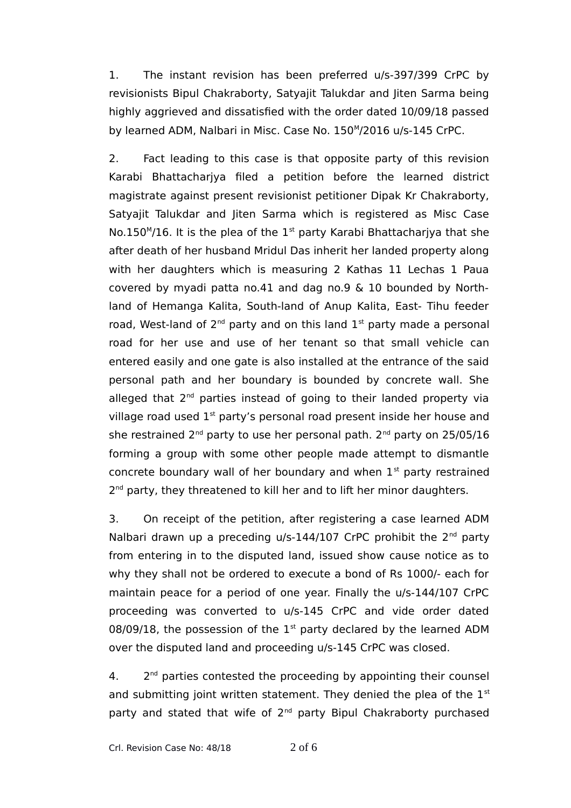1. The instant revision has been preferred u/s-397/399 CrPC by revisionists Bipul Chakraborty, Satyajit Talukdar and Jiten Sarma being highly aggrieved and dissatisfied with the order dated 10/09/18 passed by learned ADM, Nalbari in Misc. Case No. 150<sup>M</sup>/2016 u/s-145 CrPC.

2. Fact leading to this case is that opposite party of this revision Karabi Bhattacharjya filed a petition before the learned district magistrate against present revisionist petitioner Dipak Kr Chakraborty, Satyajit Talukdar and Jiten Sarma which is registered as Misc Case No.150 $M/16$ . It is the plea of the 1<sup>st</sup> party Karabi Bhattacharjya that she after death of her husband Mridul Das inherit her landed property along with her daughters which is measuring 2 Kathas 11 Lechas 1 Paua covered by myadi patta no.41 and dag no.9 & 10 bounded by Northland of Hemanga Kalita, South-land of Anup Kalita, East- Tihu feeder road, West-land of  $2^{nd}$  party and on this land  $1^{st}$  party made a personal road for her use and use of her tenant so that small vehicle can entered easily and one gate is also installed at the entrance of the said personal path and her boundary is bounded by concrete wall. She alleged that  $2<sup>nd</sup>$  parties instead of going to their landed property via village road used  $1<sup>st</sup>$  party's personal road present inside her house and she restrained  $2^{nd}$  party to use her personal path.  $2^{nd}$  party on  $25/05/16$ forming a group with some other people made attempt to dismantle concrete boundary wall of her boundary and when  $1<sup>st</sup>$  party restrained 2<sup>nd</sup> party, they threatened to kill her and to lift her minor daughters.

3. On receipt of the petition, after registering a case learned ADM Nalbari drawn up a preceding  $u/s-144/107$  CrPC prohibit the  $2<sup>nd</sup>$  party from entering in to the disputed land, issued show cause notice as to why they shall not be ordered to execute a bond of Rs 1000/- each for maintain peace for a period of one year. Finally the u/s-144/107 CrPC proceeding was converted to u/s-145 CrPC and vide order dated 08/09/18, the possession of the  $1<sup>st</sup>$  party declared by the learned ADM over the disputed land and proceeding u/s-145 CrPC was closed.

 $4.$  $2<sup>nd</sup>$  parties contested the proceeding by appointing their counsel and submitting joint written statement. They denied the plea of the  $1<sup>st</sup>$ party and stated that wife of 2<sup>nd</sup> party Bipul Chakraborty purchased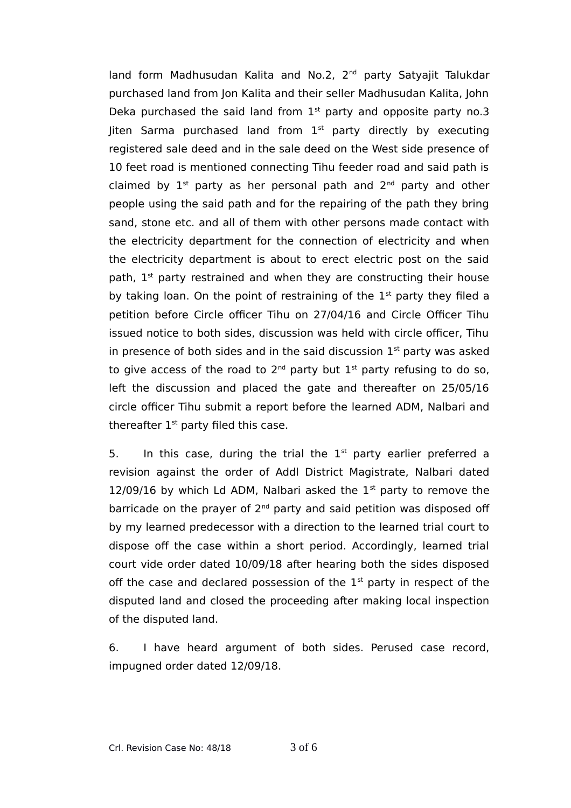land form Madhusudan Kalita and No.2, 2<sup>nd</sup> party Satyajit Talukdar purchased land from Jon Kalita and their seller Madhusudan Kalita, John Deka purchased the said land from  $1<sup>st</sup>$  party and opposite party no.3 Jiten Sarma purchased land from  $1<sup>st</sup>$  party directly by executing registered sale deed and in the sale deed on the West side presence of 10 feet road is mentioned connecting Tihu feeder road and said path is claimed by  $1^{st}$  party as her personal path and  $2^{nd}$  party and other people using the said path and for the repairing of the path they bring sand, stone etc. and all of them with other persons made contact with the electricity department for the connection of electricity and when the electricity department is about to erect electric post on the said path,  $1<sup>st</sup>$  party restrained and when they are constructing their house by taking loan. On the point of restraining of the  $1<sup>st</sup>$  party they filed a petition before Circle officer Tihu on 27/04/16 and Circle Officer Tihu issued notice to both sides, discussion was held with circle officer, Tihu in presence of both sides and in the said discussion  $1<sup>st</sup>$  party was asked to give access of the road to  $2^{nd}$  party but  $1^{st}$  party refusing to do so, left the discussion and placed the gate and thereafter on 25/05/16 circle officer Tihu submit a report before the learned ADM, Nalbari and thereafter  $1<sup>st</sup>$  party filed this case.

5. In this case, during the trial the  $1<sup>st</sup>$  party earlier preferred a revision against the order of Addl District Magistrate, Nalbari dated 12/09/16 by which Ld ADM, Nalbari asked the  $1<sup>st</sup>$  party to remove the barricade on the prayer of  $2<sup>nd</sup>$  party and said petition was disposed off by my learned predecessor with a direction to the learned trial court to dispose off the case within a short period. Accordingly, learned trial court vide order dated 10/09/18 after hearing both the sides disposed off the case and declared possession of the  $1<sup>st</sup>$  party in respect of the disputed land and closed the proceeding after making local inspection of the disputed land.

6. I have heard argument of both sides. Perused case record, impugned order dated 12/09/18.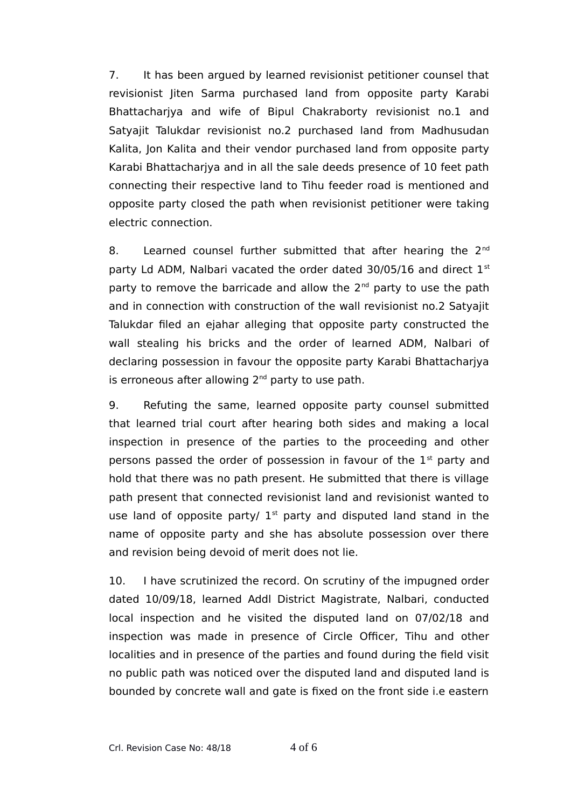7. It has been argued by learned revisionist petitioner counsel that revisionist Jiten Sarma purchased land from opposite party Karabi Bhattacharjya and wife of Bipul Chakraborty revisionist no.1 and Satyajit Talukdar revisionist no.2 purchased land from Madhusudan Kalita, Jon Kalita and their vendor purchased land from opposite party Karabi Bhattacharjya and in all the sale deeds presence of 10 feet path connecting their respective land to Tihu feeder road is mentioned and opposite party closed the path when revisionist petitioner were taking electric connection.

8. Learned counsel further submitted that after hearing the  $2^{nd}$ party Ld ADM, Nalbari vacated the order dated 30/05/16 and direct 1st party to remove the barricade and allow the  $2<sup>nd</sup>$  party to use the path and in connection with construction of the wall revisionist no.2 Satyajit Talukdar filed an ejahar alleging that opposite party constructed the wall stealing his bricks and the order of learned ADM, Nalbari of declaring possession in favour the opposite party Karabi Bhattacharjya is erroneous after allowing  $2<sup>nd</sup>$  party to use path.

9. Refuting the same, learned opposite party counsel submitted that learned trial court after hearing both sides and making a local inspection in presence of the parties to the proceeding and other persons passed the order of possession in favour of the  $1<sup>st</sup>$  party and hold that there was no path present. He submitted that there is village path present that connected revisionist land and revisionist wanted to use land of opposite party/  $1<sup>st</sup>$  party and disputed land stand in the name of opposite party and she has absolute possession over there and revision being devoid of merit does not lie.

10. I have scrutinized the record. On scrutiny of the impugned order dated 10/09/18, learned Addl District Magistrate, Nalbari, conducted local inspection and he visited the disputed land on 07/02/18 and inspection was made in presence of Circle Officer, Tihu and other localities and in presence of the parties and found during the field visit no public path was noticed over the disputed land and disputed land is bounded by concrete wall and gate is fixed on the front side i.e eastern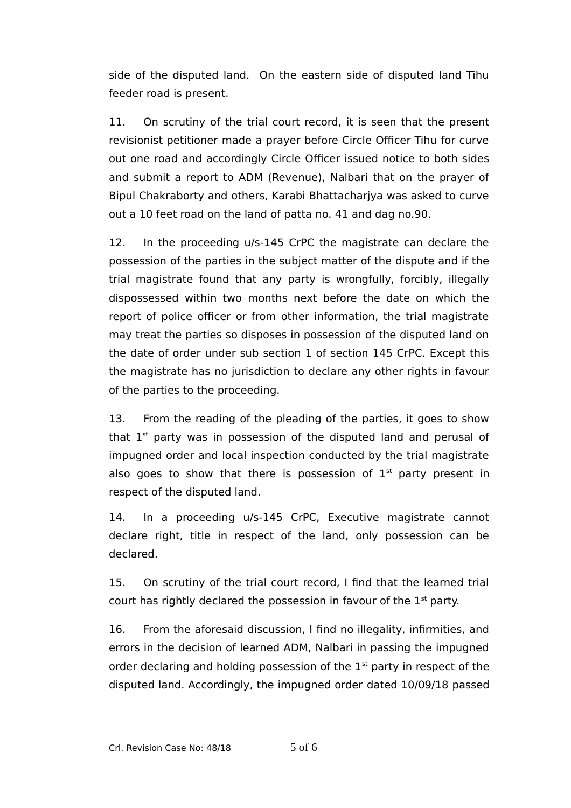side of the disputed land. On the eastern side of disputed land Tihu feeder road is present.

11. On scrutiny of the trial court record, it is seen that the present revisionist petitioner made a prayer before Circle Officer Tihu for curve out one road and accordingly Circle Officer issued notice to both sides and submit a report to ADM (Revenue), Nalbari that on the prayer of Bipul Chakraborty and others, Karabi Bhattacharjya was asked to curve out a 10 feet road on the land of patta no. 41 and dag no.90.

12. In the proceeding u/s-145 CrPC the magistrate can declare the possession of the parties in the subject matter of the dispute and if the trial magistrate found that any party is wrongfully, forcibly, illegally dispossessed within two months next before the date on which the report of police officer or from other information, the trial magistrate may treat the parties so disposes in possession of the disputed land on the date of order under sub section 1 of section 145 CrPC. Except this the magistrate has no jurisdiction to declare any other rights in favour of the parties to the proceeding.

13. From the reading of the pleading of the parties, it goes to show that  $1<sup>st</sup>$  party was in possession of the disputed land and perusal of impugned order and local inspection conducted by the trial magistrate also goes to show that there is possession of  $1<sup>st</sup>$  party present in respect of the disputed land.

14. In a proceeding u/s-145 CrPC, Executive magistrate cannot declare right, title in respect of the land, only possession can be declared.

15. On scrutiny of the trial court record, I find that the learned trial court has rightly declared the possession in favour of the  $1<sup>st</sup>$  party.

16. From the aforesaid discussion, I find no illegality, infirmities, and errors in the decision of learned ADM, Nalbari in passing the impugned order declaring and holding possession of the  $1<sup>st</sup>$  party in respect of the disputed land. Accordingly, the impugned order dated 10/09/18 passed